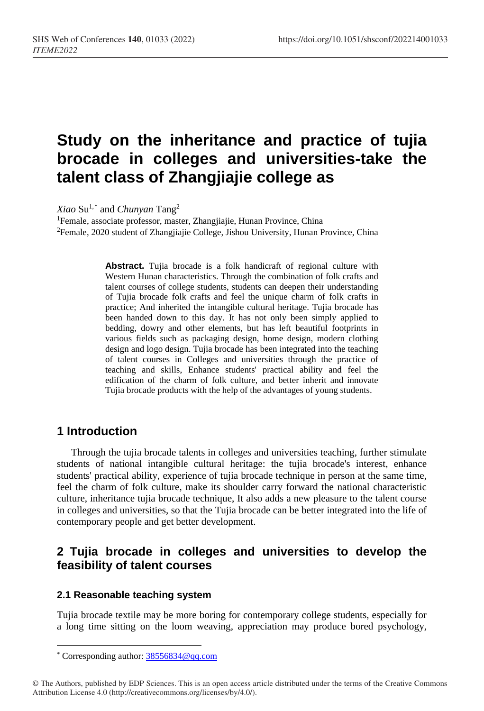# **Study on the inheritance and practice of tujia brocade in colleges and universities-take the talent class of Zhangjiajie college as**

*Xiao* Su1,[\\*](#page-0-0) and *Chunyan* Tang2

<sup>1</sup>Female, associate professor, master, Zhangjiajie, Hunan Province, China <sup>2</sup>Female, 2020 student of Zhangjiajie College, Jishou University, Hunan Province, China

> **Abstract.** Tujia brocade is a folk handicraft of regional culture with Western Hunan characteristics. Through the combination of folk crafts and talent courses of college students, students can deepen their understanding of Tujia brocade folk crafts and feel the unique charm of folk crafts in practice; And inherited the intangible cultural heritage. Tujia brocade has been handed down to this day. It has not only been simply applied to bedding, dowry and other elements, but has left beautiful footprints in various fields such as packaging design, home design, modern clothing design and logo design. Tujia brocade has been integrated into the teaching of talent courses in Colleges and universities through the practice of teaching and skills, Enhance students' practical ability and feel the edification of the charm of folk culture, and better inherit and innovate Tujia brocade products with the help of the advantages of young students.

## **1 Introduction**

Through the tujia brocade talents in colleges and universities teaching, further stimulate students of national intangible cultural heritage: the tujia brocade's interest, enhance students' practical ability, experience of tujia brocade technique in person at the same time, feel the charm of folk culture, make its shoulder carry forward the national characteristic culture, inheritance tujia brocade technique, It also adds a new pleasure to the talent course in colleges and universities, so that the Tujia brocade can be better integrated into the life of contemporary people and get better development.

# **2 Tujia brocade in colleges and universities to develop the feasibility of talent courses**

#### **2.1 Reasonable teaching system**

Tujia brocade textile may be more boring for contemporary college students, especially for a long time sitting on the loom weaving, appreciation may produce bored psychology,

<span id="page-0-0"></span> $\overline{a}$ \* Corresponding author[: 38556834@qq.com](mailto:38556834@qq.com)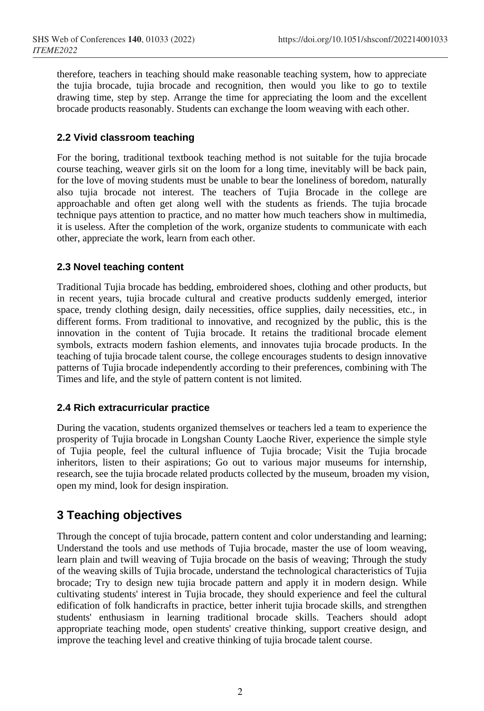therefore, teachers in teaching should make reasonable teaching system, how to appreciate the tujia brocade, tujia brocade and recognition, then would you like to go to textile drawing time, step by step. Arrange the time for appreciating the loom and the excellent brocade products reasonably. Students can exchange the loom weaving with each other.

### **2.2 Vivid classroom teaching**

For the boring, traditional textbook teaching method is not suitable for the tujia brocade course teaching, weaver girls sit on the loom for a long time, inevitably will be back pain, for the love of moving students must be unable to bear the loneliness of boredom, naturally also tujia brocade not interest. The teachers of Tujia Brocade in the college are approachable and often get along well with the students as friends. The tujia brocade technique pays attention to practice, and no matter how much teachers show in multimedia, it is useless. After the completion of the work, organize students to communicate with each other, appreciate the work, learn from each other.

### **2.3 Novel teaching content**

Traditional Tujia brocade has bedding, embroidered shoes, clothing and other products, but in recent years, tujia brocade cultural and creative products suddenly emerged, interior space, trendy clothing design, daily necessities, office supplies, daily necessities, etc., in different forms. From traditional to innovative, and recognized by the public, this is the innovation in the content of Tujia brocade. It retains the traditional brocade element symbols, extracts modern fashion elements, and innovates tujia brocade products. In the teaching of tujia brocade talent course, the college encourages students to design innovative patterns of Tujia brocade independently according to their preferences, combining with The Times and life, and the style of pattern content is not limited.

### **2.4 Rich extracurricular practice**

During the vacation, students organized themselves or teachers led a team to experience the prosperity of Tujia brocade in Longshan County Laoche River, experience the simple style of Tujia people, feel the cultural influence of Tujia brocade; Visit the Tujia brocade inheritors, listen to their aspirations; Go out to various major museums for internship, research, see the tujia brocade related products collected by the museum, broaden my vision, open my mind, look for design inspiration.

# **3 Teaching objectives**

Through the concept of tujia brocade, pattern content and color understanding and learning; Understand the tools and use methods of Tujia brocade, master the use of loom weaving, learn plain and twill weaving of Tujia brocade on the basis of weaving; Through the study of the weaving skills of Tujia brocade, understand the technological characteristics of Tujia brocade; Try to design new tujia brocade pattern and apply it in modern design. While cultivating students' interest in Tujia brocade, they should experience and feel the cultural edification of folk handicrafts in practice, better inherit tujia brocade skills, and strengthen students' enthusiasm in learning traditional brocade skills. Teachers should adopt appropriate teaching mode, open students' creative thinking, support creative design, and improve the teaching level and creative thinking of tujia brocade talent course.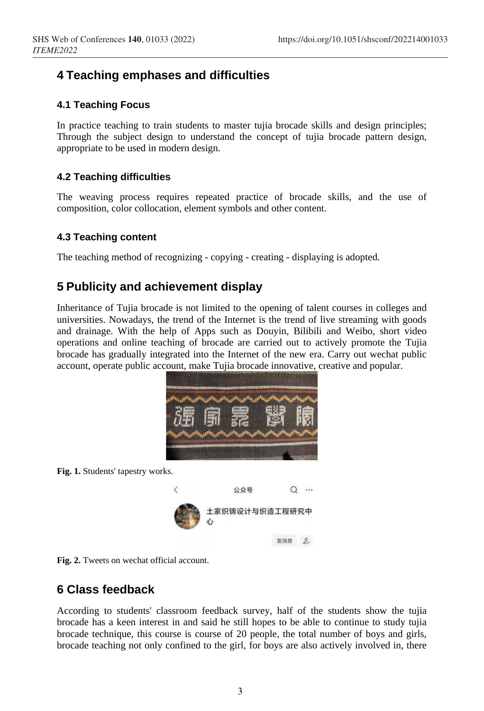# **4 Teaching emphases and difficulties**

### **4.1 Teaching Focus**

In practice teaching to train students to master tujia brocade skills and design principles; Through the subject design to understand the concept of tujia brocade pattern design, appropriate to be used in modern design.

### **4.2 Teaching difficulties**

The weaving process requires repeated practice of brocade skills, and the use of composition, color collocation, element symbols and other content.

### **4.3 Teaching content**

The teaching method of recognizing - copying - creating - displaying is adopted.

# **5 Publicity and achievement display**

Inheritance of Tujia brocade is not limited to the opening of talent courses in colleges and universities. Nowadays, the trend of the Internet is the trend of live streaming with goods and drainage. With the help of Apps such as Douyin, Bilibili and Weibo, short video operations and online teaching of brocade are carried out to actively promote the Tujia brocade has gradually integrated into the Internet of the new era. Carry out wechat public account, operate public account, make Tujia brocade innovative, creative and popular.



**Fig. 1.** Students' tapestry works.



**Fig. 2.** Tweets on wechat official account.

## **6 Class feedback**

According to students' classroom feedback survey, half of the students show the tujia brocade has a keen interest in and said he still hopes to be able to continue to study tujia brocade technique, this course is course of 20 people, the total number of boys and girls, brocade teaching not only confined to the girl, for boys are also actively involved in, there